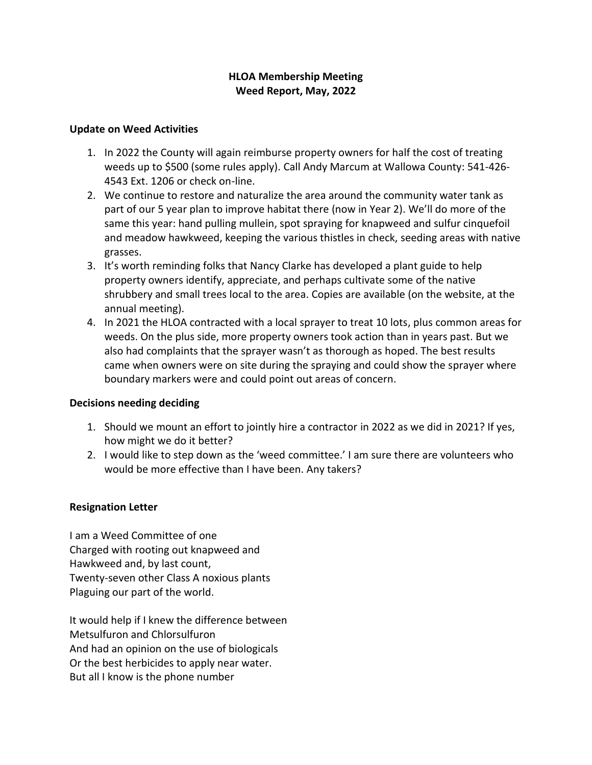## **HLOA Membership Meeting Weed Report, May, 2022**

## **Update on Weed Activities**

- 1. In 2022 the County will again reimburse property owners for half the cost of treating weeds up to \$500 (some rules apply). Call Andy Marcum at Wallowa County: 541-426- 4543 Ext. 1206 or check on-line.
- 2. We continue to restore and naturalize the area around the community water tank as part of our 5 year plan to improve habitat there (now in Year 2). We'll do more of the same this year: hand pulling mullein, spot spraying for knapweed and sulfur cinquefoil and meadow hawkweed, keeping the various thistles in check, seeding areas with native grasses.
- 3. It's worth reminding folks that Nancy Clarke has developed a plant guide to help property owners identify, appreciate, and perhaps cultivate some of the native shrubbery and small trees local to the area. Copies are available (on the website, at the annual meeting).
- 4. In 2021 the HLOA contracted with a local sprayer to treat 10 lots, plus common areas for weeds. On the plus side, more property owners took action than in years past. But we also had complaints that the sprayer wasn't as thorough as hoped. The best results came when owners were on site during the spraying and could show the sprayer where boundary markers were and could point out areas of concern.

## **Decisions needing deciding**

- 1. Should we mount an effort to jointly hire a contractor in 2022 as we did in 2021? If yes, how might we do it better?
- 2. I would like to step down as the 'weed committee.' I am sure there are volunteers who would be more effective than I have been. Any takers?

## **Resignation Letter**

I am a Weed Committee of one Charged with rooting out knapweed and Hawkweed and, by last count, Twenty-seven other Class A noxious plants Plaguing our part of the world.

It would help if I knew the difference between Metsulfuron and Chlorsulfuron And had an opinion on the use of biologicals Or the best herbicides to apply near water. But all I know is the phone number